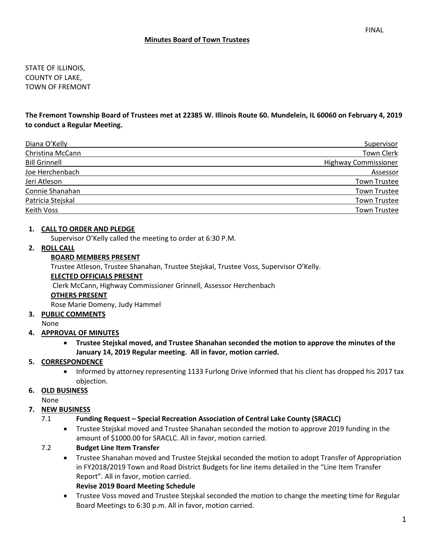STATE OF ILLINOIS, COUNTY OF LAKE, TOWN OF FREMONT

**The Fremont Township Board of Trustees met at 22385 W. Illinois Route 60. Mundelein, IL 60060 on February 4, 2019 to conduct a Regular Meeting.**

| Diana O'Kelly        | Supervisor                  |
|----------------------|-----------------------------|
| Christina McCann     | <b>Town Clerk</b>           |
| <b>Bill Grinnell</b> | <b>Highway Commissioner</b> |
| Joe Herchenbach      | Assessor                    |
| Jeri Atleson         | <b>Town Trustee</b>         |
| Connie Shanahan      | <b>Town Trustee</b>         |
| Patricia Stejskal    | <b>Town Trustee</b>         |
| Keith Voss           | <b>Town Trustee</b>         |

#### **1. CALL TO ORDER AND PLEDGE**

Supervisor O'Kelly called the meeting to order at 6:30 P.M.

#### **2. ROLL CALL**

#### **BOARD MEMBERS PRESENT**

Trustee Atleson, Trustee Shanahan, Trustee Stejskal, Trustee Voss, Supervisor O'Kelly.

#### **ELECTED OFFICIALS PRESENT**

Clerk McCann, Highway Commissioner Grinnell, Assessor Herchenbach

#### **OTHERS PRESENT**

Rose Marie Domeny, Judy Hammel

## **3. PUBLIC COMMENTS**

None

## **4. APPROVAL OF MINUTES**

• **Trustee Stejskal moved, and Trustee Shanahan seconded the motion to approve the minutes of the January 14, 2019 Regular meeting. All in favor, motion carried.** 

## **5. CORRESPONDENCE**

• Informed by attorney representing 1133 Furlong Drive informed that his client has dropped his 2017 tax objection.

#### **6. OLD BUSINESS**

None

## **7. NEW BUSINESS**

## 7.1 **Funding Request – Special Recreation Association of Central Lake County (SRACLC)**

• Trustee Stejskal moved and Trustee Shanahan seconded the motion to approve 2019 funding in the amount of \$1000.00 for SRACLC. All in favor, motion carried.

## 7.2 **Budget Line Item Transfer**

• Trustee Shanahan moved and Trustee Stejskal seconded the motion to adopt Transfer of Appropriation in FY2018/2019 Town and Road District Budgets for line items detailed in the "Line Item Transfer Report". All in favor, motion carried.

#### **Revise 2019 Board Meeting Schedule**

• Trustee Voss moved and Trustee Stejskal seconded the motion to change the meeting time for Regular Board Meetings to 6:30 p.m. All in favor, motion carried.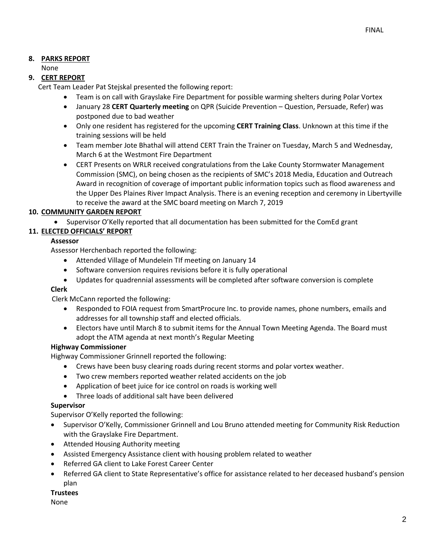## **8. PARKS REPORT**

## None

## **9. CERT REPORT**

Cert Team Leader Pat Stejskal presented the following report:

- Team is on call with Grayslake Fire Department for possible warming shelters during Polar Vortex
- January 28 **CERT Quarterly meeting** on QPR (Suicide Prevention Question, Persuade, Refer) was postponed due to bad weather
- Only one resident has registered for the upcoming **CERT Training Class**. Unknown at this time if the training sessions will be held
- Team member Jote Bhathal will attend CERT Train the Trainer on Tuesday, March 5 and Wednesday, March 6 at the Westmont Fire Department
- CERT Presents on WRLR received congratulations from the Lake County Stormwater Management Commission (SMC), on being chosen as the recipients of SMC's 2018 Media, Education and Outreach Award in recognition of coverage of important public information topics such as flood awareness and the Upper Des Plaines River Impact Analysis. There is an evening reception and ceremony in Libertyville to receive the award at the SMC board meeting on March 7, 2019

## **10. COMMUNITY GARDEN REPORT**

• Supervisor O'Kelly reported that all documentation has been submitted for the ComEd grant

## **11. ELECTED OFFICIALS' REPORT**

## **Assessor**

Assessor Herchenbach reported the following:

- Attended Village of Mundelein TIf meeting on January 14
- Software conversion requires revisions before it is fully operational
- Updates for quadrennial assessments will be completed after software conversion is complete

## **Clerk**

Clerk McCann reported the following:

- Responded to FOIA request from SmartProcure Inc. to provide names, phone numbers, emails and addresses for all township staff and elected officials.
- Electors have until March 8 to submit items for the Annual Town Meeting Agenda. The Board must adopt the ATM agenda at next month's Regular Meeting

## **Highway Commissioner**

Highway Commissioner Grinnell reported the following:

- Crews have been busy clearing roads during recent storms and polar vortex weather.
- Two crew members reported weather related accidents on the job
- Application of beet juice for ice control on roads is working well
- Three loads of additional salt have been delivered

## **Supervisor**

Supervisor O'Kelly reported the following:

- Supervisor O'Kelly, Commissioner Grinnell and Lou Bruno attended meeting for Community Risk Reduction with the Grayslake Fire Department.
- Attended Housing Authority meeting
- Assisted Emergency Assistance client with housing problem related to weather
- Referred GA client to Lake Forest Career Center
- Referred GA client to State Representative's office for assistance related to her deceased husband's pension plan

#### **Trustees**

None